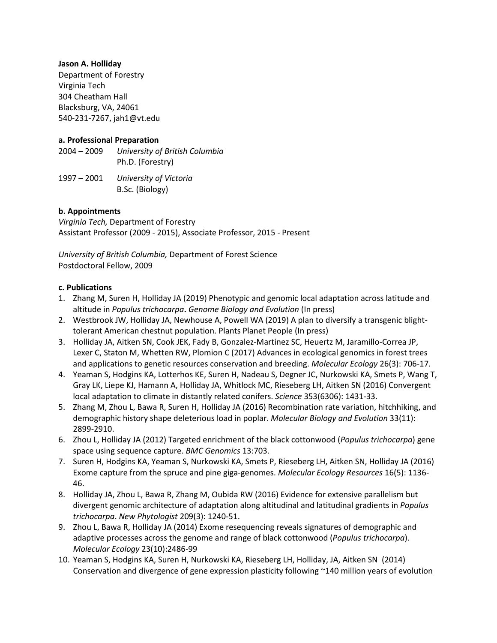#### **Jason A. Holliday**

Department of Forestry Virginia Tech 304 Cheatham Hall Blacksburg, VA, 24061 540-231-7267, jah1@vt.edu

### **a. Professional Preparation**

2004 – 2009 *University of British Columbia* Ph.D. (Forestry)

1997 – 2001 *University of Victoria* B.Sc. (Biology)

### **b. Appointments**

*Virginia Tech,* Department of Forestry Assistant Professor (2009 - 2015), Associate Professor, 2015 - Present

*University of British Columbia,* Department of Forest Science Postdoctoral Fellow, 2009

### **c. Publications**

- 1. Zhang M, Suren H, Holliday JA (2019) Phenotypic and genomic local adaptation across latitude and altitude in *Populus trichocarpa***.** *Genome Biology and Evolution* (In press)
- 2. Westbrook JW, Holliday JA, Newhouse A, Powell WA (2019) A plan to diversify a transgenic blighttolerant American chestnut population. Plants Planet People (In press)
- 3. Holliday JA, Aitken SN, Cook JEK, Fady B, Gonzalez-Martinez SC, Heuertz M, Jaramillo-Correa JP, Lexer C, Staton M, Whetten RW, Plomion C (2017) Advances in ecological genomics in forest trees and applications to genetic resources conservation and breeding. *Molecular Ecology* 26(3): 706-17.
- 4. Yeaman S, Hodgins KA, Lotterhos KE, Suren H, Nadeau S, Degner JC, Nurkowski KA, Smets P, Wang T, Gray LK, Liepe KJ, Hamann A, Holliday JA, Whitlock MC, Rieseberg LH, Aitken SN (2016) Convergent local adaptation to climate in distantly related conifers. *Science* 353(6306): 1431-33.
- 5. Zhang M, Zhou L, Bawa R, Suren H, Holliday JA (2016) Recombination rate variation, hitchhiking, and demographic history shape deleterious load in poplar. *Molecular Biology and Evolution* 33(11): 2899-2910.
- 6. Zhou L, Holliday JA (2012) Targeted enrichment of the black cottonwood (*Populus trichocarpa*) gene space using sequence capture. *BMC Genomics* 13:703.
- 7. Suren H, Hodgins KA, Yeaman S, Nurkowski KA, Smets P, Rieseberg LH, Aitken SN, Holliday JA (2016) Exome capture from the spruce and pine giga-genomes. *Molecular Ecology Resources* 16(5): 1136- 46.
- 8. Holliday JA, Zhou L, Bawa R, Zhang M, Oubida RW (2016) Evidence for extensive parallelism but divergent genomic architecture of adaptation along altitudinal and latitudinal gradients in *Populus trichocarpa*. *New Phytologist* 209(3): 1240-51.
- 9. Zhou L, Bawa R, Holliday JA (2014) Exome resequencing reveals signatures of demographic and adaptive processes across the genome and range of black cottonwood (*Populus trichocarpa*). *Molecular Ecology* 23(10):2486-99
- 10. Yeaman S, Hodgins KA, Suren H, Nurkowski KA, Rieseberg LH, Holliday, JA, Aitken SN (2014) Conservation and divergence of gene expression plasticity following ~140 million years of evolution